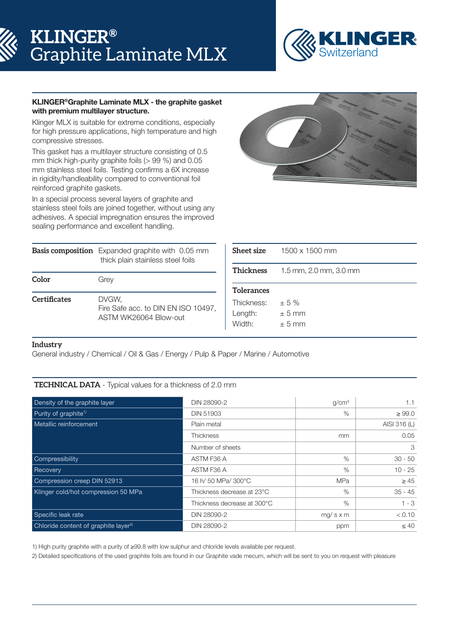# **KLINGER®** Graphite Laminate MLX



# KLINGER®Graphite Laminate MLX - the graphite gasket with premium multilayer structure.

Klinger MLX is suitable for extreme conditions, especially for high pressure applications, high temperature and high compressive stresses.

This gasket has a multilayer structure consisting of 0.5 mm thick high-purity graphite foils (> 99 %) and 0.05 mm stainless steel foils. Testing confirms a 6X increase in rigidity/handleability compared to conventional foil reinforced graphite gaskets.

In a special process several layers of graphite and stainless steel foils are joined together, without using any adhesives. A special impregnation ensures the improved sealing performance and excellent handling.



|                     | <b>Basis composition</b> Expanded graphite with 0.05 mm<br>thick plain stainless steel foils | Sheet size                                           | 1500 x 1500 mm                    |  |  |  |
|---------------------|----------------------------------------------------------------------------------------------|------------------------------------------------------|-----------------------------------|--|--|--|
| Color               | Grey                                                                                         | Thickness                                            | 1.5 mm, 2.0 mm, 3.0 mm            |  |  |  |
| <b>Certificates</b> | DVGW,<br>Fire Safe acc. to DIN EN ISO 10497,<br>ASTM WK26064 Blow-out                        | <b>Tolerances</b><br>Thickness:<br>Length:<br>Width: | $\pm$ 5 %<br>$± 5$ mm<br>$± 5$ mm |  |  |  |

# **Industry**

General industry / Chemical / Oil & Gas / Energy / Pulp & Paper / Marine / Automotive

# **TECHNICAL DATA** - Typical values for a thickness of 2.0 mm

| Density of the graphite layer                    | DIN 28090-2                 | q/cm <sup>3</sup> | 1.1          |
|--------------------------------------------------|-----------------------------|-------------------|--------------|
| Purity of graphite <sup>1)</sup>                 | <b>DIN 51903</b>            | $\%$              | $\geq 99.0$  |
| Metallic reinforcement                           | Plain metal                 |                   | AISI 316 (L) |
|                                                  | <b>Thickness</b>            | <sub>mm</sub>     | 0.05         |
|                                                  | Number of sheets            |                   | 3            |
| Compressibility                                  | ASTM F36 A                  | $\%$              | $30 - 50$    |
| Recovery                                         | ASTM F36 A                  | $\%$              | $10 - 25$    |
| Compression creep DIN 52913                      | 16 h/ 50 MPa/ 300°C         | <b>MPa</b>        | $\geq 45$    |
| Klinger cold/hot compression 50 MPa              | Thickness decrease at 23°C  | $\%$              | $35 - 45$    |
|                                                  | Thickness decrease at 300°C | $\%$              | $1 - 3$      |
| Specific leak rate                               | DIN 28090-2                 | $mg/s \times m$   | < 0.10       |
| Chloride content of graphite layer <sup>2)</sup> | DIN 28090-2                 | ppm               | $\leq 40$    |

1) High purity graphite with a purity of ≥99.8 with low sulphur and chloride levels available per request.

2) Detailed specifications of the used graphite foils are found in our Graphite vade mecum, which will be sent to you on request with pleasure